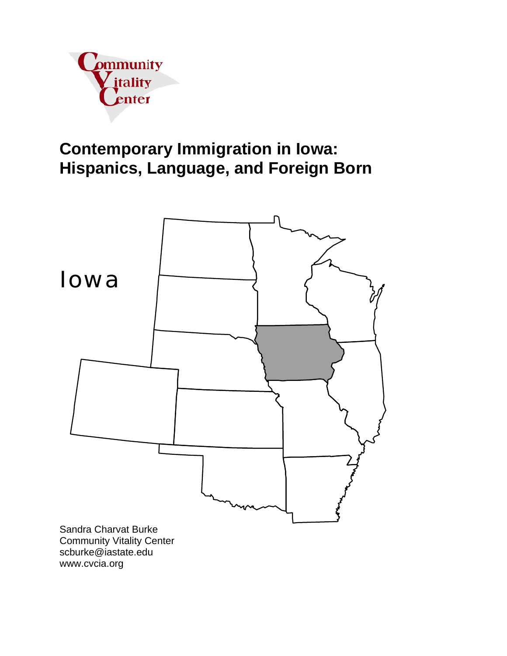

# **Contemporary Immigration in Iowa: Hispanics, Language, and Foreign Born**



www.cvcia.org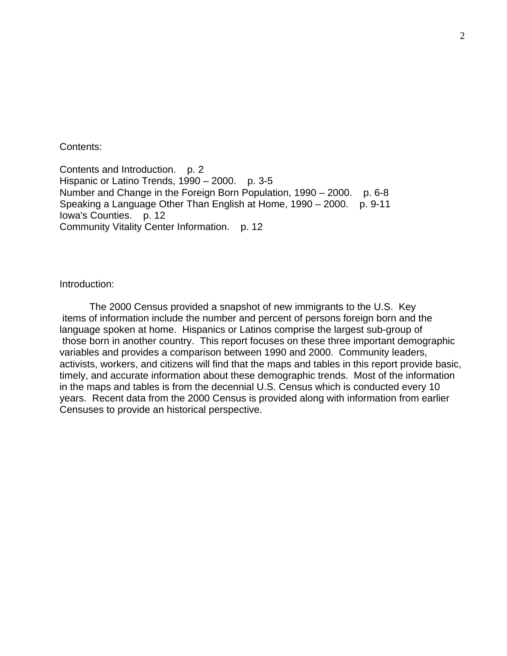Contents:

Contents and Introduction. p. 2 Hispanic or Latino Trends, 1990 – 2000. p. 3-5 Number and Change in the Foreign Born Population, 1990 – 2000. p. 6-8 Speaking a Language Other Than English at Home, 1990 – 2000. p. 9-11 Iowa's Counties. p. 12 Community Vitality Center Information. p. 12

Introduction:

 The 2000 Census provided a snapshot of new immigrants to the U.S. Key items of information include the number and percent of persons foreign born and the language spoken at home. Hispanics or Latinos comprise the largest sub-group of those born in another country. This report focuses on these three important demographic variables and provides a comparison between 1990 and 2000. Community leaders, activists, workers, and citizens will find that the maps and tables in this report provide basic, timely, and accurate information about these demographic trends. Most of the information in the maps and tables is from the decennial U.S. Census which is conducted every 10 years. Recent data from the 2000 Census is provided along with information from earlier Censuses to provide an historical perspective.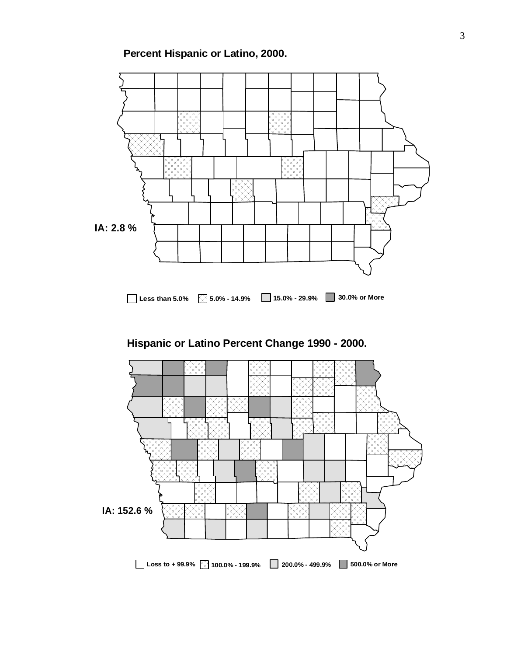**Percent Hispanic or Latino, 2000.**



### **Hispanic or Latino Percent Change 1990 - 2000.**

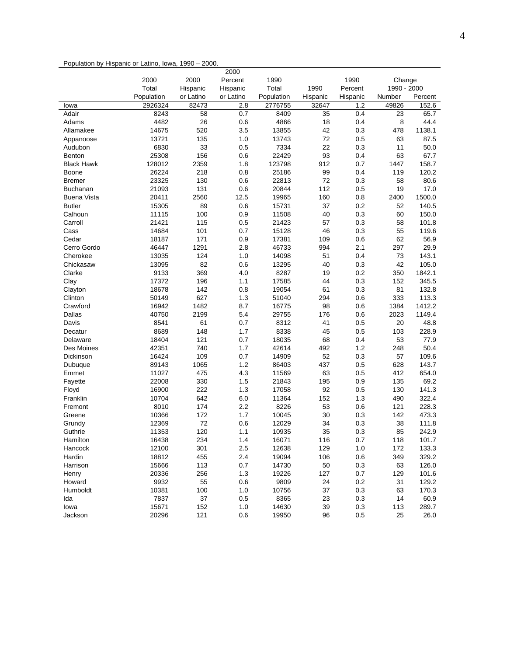#### Population by Hispanic or Latino, Iowa, 1990 – 2000.

|                    |            |           | 2000      |            |          |          |             |         |
|--------------------|------------|-----------|-----------|------------|----------|----------|-------------|---------|
|                    | 2000       | 2000      | Percent   | 1990       |          | 1990     | Change      |         |
|                    | Total      | Hispanic  | Hispanic  | Total      | 1990     | Percent  | 1990 - 2000 |         |
|                    | Population | or Latino | or Latino | Population | Hispanic | Hispanic | Number      | Percent |
| lowa               | 2926324    | 82473     | 2.8       | 2776755    | 32647    | 1.2      | 49826       | 152.6   |
| Adair              | 8243       | 58        | 0.7       | 8409       | 35       | 0.4      | 23          | 65.7    |
| Adams              | 4482       | 26        | 0.6       | 4866       | 18       | 0.4      | 8           | 44.4    |
| Allamakee          | 14675      | 520       | 3.5       | 13855      | 42       | 0.3      | 478         | 1138.1  |
| Appanoose          | 13721      | 135       | 1.0       | 13743      | 72       | 0.5      | 63          | 87.5    |
| Audubon            | 6830       | 33        | 0.5       | 7334       | 22       | 0.3      | 11          | 50.0    |
| <b>Benton</b>      | 25308      | 156       | 0.6       | 22429      | 93       | 0.4      | 63          | 67.7    |
| <b>Black Hawk</b>  | 128012     | 2359      | 1.8       | 123798     | 912      | 0.7      | 1447        | 158.7   |
| Boone              | 26224      | 218       | 0.8       | 25186      | 99       | 0.4      | 119         | 120.2   |
| <b>Bremer</b>      | 23325      | 130       | 0.6       | 22813      | 72       | 0.3      | 58          | 80.6    |
| <b>Buchanan</b>    | 21093      | 131       | 0.6       | 20844      | 112      | 0.5      | 19          | 17.0    |
| <b>Buena Vista</b> | 20411      | 2560      | 12.5      | 19965      | 160      | 0.8      | 2400        | 1500.0  |
| <b>Butler</b>      | 15305      | 89        | 0.6       | 15731      | 37       | 0.2      | 52          | 140.5   |
| Calhoun            | 11115      | 100       | 0.9       | 11508      | 40       | 0.3      | 60          | 150.0   |
| Carroll            | 21421      | 115       | 0.5       | 21423      | 57       | 0.3      | 58          | 101.8   |
| Cass               | 14684      | 101       | 0.7       | 15128      | 46       | 0.3      | 55          | 119.6   |
| Cedar              | 18187      | 171       | 0.9       | 17381      | 109      | 0.6      | 62          | 56.9    |
| Cerro Gordo        | 46447      | 1291      | 2.8       | 46733      | 994      | 2.1      | 297         | 29.9    |
| Cherokee           | 13035      | 124       | 1.0       | 14098      | 51       | 0.4      | 73          | 143.1   |
| Chickasaw          | 13095      | 82        | 0.6       | 13295      | 40       | 0.3      | 42          | 105.0   |
| Clarke             | 9133       | 369       | 4.0       | 8287       | 19       | 0.2      | 350         | 1842.1  |
| Clay               | 17372      | 196       | 1.1       | 17585      | 44       | 0.3      | 152         | 345.5   |
| Clayton            | 18678      | 142       | 0.8       | 19054      | 61       | 0.3      | 81          | 132.8   |
| Clinton            | 50149      | 627       | 1.3       | 51040      | 294      | 0.6      | 333         | 113.3   |
| Crawford           | 16942      | 1482      | 8.7       | 16775      | 98       | 0.6      | 1384        | 1412.2  |
| Dallas             | 40750      | 2199      | 5.4       | 29755      | 176      | 0.6      | 2023        | 1149.4  |
| Davis              | 8541       | 61        | 0.7       | 8312       | 41       | 0.5      | 20          | 48.8    |
| Decatur            | 8689       | 148       | 1.7       | 8338       | 45       | 0.5      | 103         | 228.9   |
| Delaware           | 18404      | 121       | 0.7       | 18035      | 68       | 0.4      | 53          | 77.9    |
| Des Moines         | 42351      | 740       | 1.7       | 42614      | 492      | 1.2      | 248         | 50.4    |
| Dickinson          | 16424      | 109       | 0.7       | 14909      | 52       | 0.3      | 57          | 109.6   |
| Dubuque            | 89143      | 1065      | 1.2       | 86403      | 437      | 0.5      | 628         | 143.7   |
| Emmet              | 11027      | 475       | 4.3       | 11569      | 63       | 0.5      | 412         | 654.0   |
| Fayette            | 22008      | 330       | 1.5       | 21843      | 195      | 0.9      | 135         | 69.2    |
| Floyd              | 16900      | 222       | 1.3       | 17058      | 92       | 0.5      | 130         | 141.3   |
| Franklin           | 10704      | 642       | 6.0       | 11364      | 152      | 1.3      | 490         | 322.4   |
| Fremont            | 8010       | 174       | 2.2       | 8226       | 53       | 0.6      | 121         | 228.3   |
| Greene             | 10366      | 172       | 1.7       | 10045      | 30       | 0.3      | 142         | 473.3   |
| Grundy             | 12369      | 72        | 0.6       | 12029      | 34       | 0.3      | 38          | 111.8   |
| Guthrie            | 11353      | 120       | 1.1       | 10935      | 35       | 0.3      | 85          | 242.9   |
| Hamilton           | 16438      | 234       | 1.4       | 16071      | 116      | 0.7      | 118         | 101.7   |
| Hancock            | 12100      | 301       | 2.5       | 12638      | 129      | 1.0      | 172         | 133.3   |
| Hardin             | 18812      | 455       | 2.4       | 19094      | 106      | 0.6      | 349         | 329.2   |
| Harrison           | 15666      | 113       | 0.7       | 14730      | 50       | 0.3      | 63          | 126.0   |
| Henry              | 20336      | 256       | 1.3       | 19226      | 127      | 0.7      | 129         | 101.6   |
| Howard             | 9932       | 55        | 0.6       | 9809       | 24       | 0.2      | 31          | 129.2   |
| Humboldt           | 10381      | 100       | 1.0       | 10756      | 37       | 0.3      | 63          | 170.3   |
| Ida                | 7837       | 37        | 0.5       | 8365       | 23       | 0.3      | 14          | 60.9    |
| lowa               | 15671      | 152       | 1.0       | 14630      | 39       | 0.3      | 113         | 289.7   |
| Jackson            | 20296      | 121       | 0.6       | 19950      | 96       | 0.5      | 25          | 26.0    |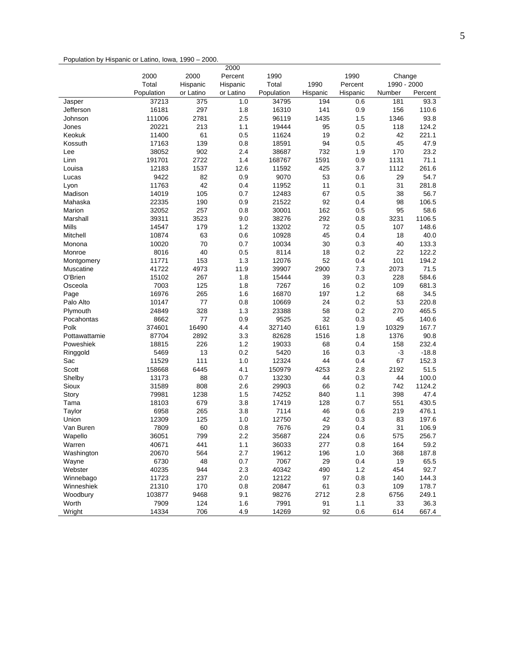#### Population by Hispanic or Latino, Iowa, 1990 – 2000.

|                      |                |           | 2000      |                |          |            |             |               |
|----------------------|----------------|-----------|-----------|----------------|----------|------------|-------------|---------------|
|                      | 2000           | 2000      | Percent   | 1990           |          | 1990       | Change      |               |
|                      | Total          | Hispanic  | Hispanic  | Total          | 1990     | Percent    | 1990 - 2000 |               |
|                      | Population     | or Latino | or Latino | Population     | Hispanic | Hispanic   | Number      | Percent       |
| Jasper               | 37213          | 375       | 1.0       | 34795          | 194      | 0.6        | 181         | 93.3          |
| Jefferson            | 16181          | 297       | 1.8       | 16310          | 141      | 0.9        | 156         | 110.6         |
| Johnson              | 111006         | 2781      | 2.5       | 96119          | 1435     | 1.5        | 1346        | 93.8          |
| Jones                | 20221          | 213       | 1.1       | 19444          | 95       | 0.5        | 118         | 124.2         |
| Keokuk               | 11400          | 61        | 0.5       | 11624          | 19       | 0.2        | 42          | 221.1         |
| Kossuth              | 17163          | 139       | 0.8       | 18591          | 94       | 0.5        | 45          | 47.9          |
| Lee                  | 38052          | 902       | 2.4       | 38687          | 732      | 1.9        | 170         | 23.2          |
| Linn                 | 191701         | 2722      | 1.4       | 168767         | 1591     | 0.9        | 1131        | 71.1          |
| Louisa               | 12183          | 1537      | 12.6      | 11592          | 425      | 3.7        | 1112        | 261.6         |
| Lucas                | 9422           | 82        | 0.9       | 9070           | 53       | 0.6        | 29          | 54.7          |
| Lyon                 | 11763          | 42        | 0.4       | 11952          | 11       | 0.1        | 31          | 281.8         |
| Madison              | 14019          | 105       | 0.7       | 12483          | 67       | 0.5        | 38          | 56.7          |
| Mahaska              | 22335          | 190       | 0.9       | 21522          | 92       | 0.4        | 98          | 106.5         |
| Marion               | 32052          | 257       | 0.8       | 30001          | 162      | 0.5        | 95          | 58.6          |
| Marshall             | 39311          | 3523      | 9.0       | 38276          | 292      | 0.8        | 3231        | 1106.5        |
| Mills                | 14547          | 179       | 1.2       | 13202          | 72       | 0.5        | 107         | 148.6         |
| Mitchell             | 10874          | 63        | 0.6       | 10928          | 45       | 0.4        | 18          | 40.0          |
| Monona               | 10020          | 70        | 0.7       | 10034          | 30       | 0.3        | 40          | 133.3         |
| Monroe               | 8016           | 40        | 0.5       | 8114           | 18       | 0.2        | 22          | 122.2         |
| Montgomery           | 11771          | 153       | 1.3       | 12076          | 52       | 0.4        | 101         | 194.2         |
| Muscatine            | 41722          | 4973      | 11.9      | 39907          | 2900     | 7.3        | 2073        | 71.5          |
| O'Brien              | 15102          | 267       | 1.8       | 15444          | 39       | 0.3        | 228         | 584.6         |
| Osceola              | 7003           | 125       | 1.8       | 7267           | 16       | 0.2        | 109         | 681.3         |
| Page                 | 16976          | 265       | 1.6       | 16870          | 197      | 1.2        | 68          | 34.5          |
| Palo Alto            | 10147          | 77        | 0.8       | 10669          | 24       | 0.2        | 53          | 220.8         |
| Plymouth             | 24849          | 328       | 1.3       | 23388          | 58       | 0.2        | 270         | 465.5         |
| Pocahontas           | 8662           | 77        | 0.9       | 9525           | 32       | 0.3        | 45          | 140.6         |
| Polk                 | 374601         | 16490     | 4.4       | 327140         | 6161     | 1.9        | 10329       | 167.7         |
| Pottawattamie        | 87704          | 2892      | 3.3       | 82628          | 1516     | 1.8        | 1376        | 90.8          |
| Poweshiek            | 18815          | 226       | 1.2       | 19033          | 68       | 0.4        | 158         | 232.4         |
| Ringgold             | 5469           | 13        | 0.2       | 5420           | 16       | 0.3        | $-3$        | $-18.8$       |
| Sac                  | 11529          | 111       | 1.0       | 12324          | 44       | 0.4        | 67          | 152.3         |
| Scott                | 158668         | 6445      | 4.1       | 150979         | 4253     | 2.8        | 2192        | 51.5          |
| Shelby               | 13173          | 88        | 0.7       | 13230          | 44       | 0.3        | 44          | 100.0         |
| Sioux                | 31589          | 808       | 2.6       | 29903          | 66       | 0.2        | 742         | 1124.2        |
| Story                | 79981          | 1238      | 1.5       | 74252          | 840      | 1.1        | 398         | 47.4          |
| Tama                 | 18103          | 679       | 3.8       | 17419          | 128      | 0.7        | 551         | 430.5         |
| Taylor               | 6958           | 265       | 3.8       | 7114           | 46       | 0.6        | 219         | 476.1         |
| Union                | 12309          | 125       | 1.0       | 12750          | 42       | 0.3        | 83          | 197.6         |
| Van Buren            | 7809           | 60        | 0.8       | 7676           | 29       | 0.4        | 31          | 106.9         |
|                      | 36051          | 799       | 2.2       | 35687          | 224      | 0.6        | 575         | 256.7         |
| Wapello              |                | 441       | 1.1       |                | 277      |            |             |               |
| Warren<br>Washington | 40671<br>20670 | 564       | 2.7       | 36033<br>19612 | 196      | 0.8        | 164<br>368  | 59.2          |
|                      | 6730           | 48        |           | 7067           | 29       | 1.0<br>0.4 | 19          | 187.8<br>65.5 |
| Wayne                |                |           | 0.7       |                |          |            |             |               |
| Webster              | 40235          | 944       | 2.3       | 40342          | 490      | 1.2        | 454         | 92.7          |
| Winnebago            | 11723          | 237       | 2.0       | 12122          | 97       | 0.8        | 140         | 144.3         |
| Winneshiek           | 21310          | 170       | 0.8       | 20847          | 61       | 0.3        | 109         | 178.7         |
| Woodbury             | 103877         | 9468      | 9.1       | 98276          | 2712     | 2.8        | 6756        | 249.1         |
| Worth                | 7909           | 124       | 1.6       | 7991           | 91       | 1.1        | 33          | 36.3          |
| Wright               | 14334          | 706       | 4.9       | 14269          | 92       | 0.6        | 614         | 667.4         |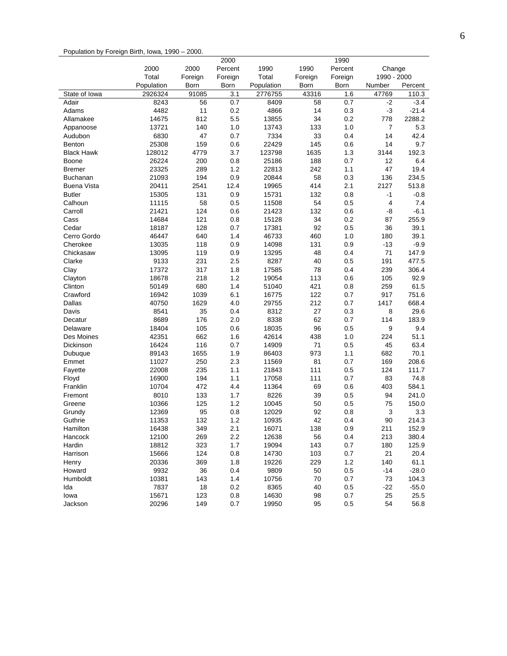#### Population by Foreign Birth, Iowa, 1990 – 2000.

|                    |            |           | 2000       |                |         | 1990    |                |              |
|--------------------|------------|-----------|------------|----------------|---------|---------|----------------|--------------|
|                    | 2000       | 2000      | Percent    | 1990           | 1990    | Percent | Change         |              |
|                    | Total      | Foreign   | Foreign    | Total          | Foreign | Foreign | 1990 - 2000    |              |
|                    | Population | Born      | Born       | Population     | Born    | Born    | Number         | Percent      |
| State of Iowa      | 2926324    | 91085     | 3.1        | 2776755        | 43316   | 1.6     | 47769          | 110.3        |
| Adair              | 8243       | 56        | 0.7        | 8409           | 58      | 0.7     | $-2$           | $-3.4$       |
| Adams              | 4482       | 11        | 0.2        | 4866           | 14      | 0.3     | $-3$           | $-21.4$      |
| Allamakee          | 14675      | 812       | 5.5        | 13855          | 34      | 0.2     | 778            | 2288.2       |
| Appanoose          | 13721      | 140       | 1.0        | 13743          | 133     | 1.0     | $\overline{7}$ | 5.3          |
| Audubon            | 6830       | 47        | 0.7        | 7334           | 33      | 0.4     | 14             | 42.4         |
| Benton             | 25308      | 159       | 0.6        | 22429          | 145     | 0.6     | 14             | 9.7          |
| <b>Black Hawk</b>  | 128012     | 4779      | 3.7        | 123798         | 1635    | 1.3     | 3144           | 192.3        |
| Boone              | 26224      | 200       | 0.8        | 25186          | 188     | 0.7     | 12             | 6.4          |
| <b>Bremer</b>      | 23325      | 289       | 1.2        | 22813          | 242     | 1.1     | 47             | 19.4         |
| <b>Buchanan</b>    | 21093      | 194       | 0.9        | 20844          | 58      | 0.3     | 136            | 234.5        |
| <b>Buena Vista</b> | 20411      | 2541      | 12.4       | 19965          | 414     | 2.1     | 2127           | 513.8        |
| <b>Butler</b>      | 15305      | 131       | 0.9        | 15731          | 132     | 0.8     | -1             | $-0.8$       |
| Calhoun            | 11115      | 58        | 0.5        | 11508          | 54      | 0.5     | 4              | 7.4          |
| Carroll            | 21421      | 124       | 0.6        | 21423          | 132     | 0.6     | -8             | $-6.1$       |
| Cass               | 14684      | 121       | 0.8        | 15128          | 34      | 0.2     | 87             | 255.9        |
| Cedar              | 18187      | 128       | 0.7        | 17381          | 92      | 0.5     | 36             | 39.1         |
| Cerro Gordo        | 46447      | 640       | 1.4        | 46733          | 460     | 1.0     | 180            | 39.1         |
| Cherokee           | 13035      | 118       | 0.9        | 14098          | 131     | 0.9     | $-13$          | $-9.9$       |
| Chickasaw          | 13095      | 119       | 0.9        | 13295          | 48      | 0.4     | 71             | 147.9        |
| Clarke             | 9133       | 231       | 2.5        | 8287           | 40      | 0.5     | 191            | 477.5        |
| Clay               | 17372      | 317       | 1.8        | 17585          | 78      | 0.4     | 239            | 306.4        |
| Clayton            | 18678      | 218       | 1.2        | 19054          | 113     | 0.6     | 105            | 92.9         |
| Clinton            | 50149      | 680       | 1.4        | 51040          | 421     | 0.8     | 259            | 61.5         |
| Crawford           | 16942      | 1039      | 6.1        | 16775          | 122     | 0.7     | 917            | 751.6        |
| Dallas             | 40750      | 1629      | 4.0        | 29755          | 212     | 0.7     | 1417           | 668.4        |
| Davis              | 8541       | 35        | 0.4        | 8312           | 27      | 0.3     | 8              | 29.6         |
| Decatur            | 8689       | 176       | 2.0        | 8338           | 62      | 0.7     | 114            | 183.9        |
| Delaware           | 18404      | 105       | 0.6        | 18035          | 96      | 0.5     | 9              | 9.4          |
| Des Moines         | 42351      | 662       | 1.6        | 42614          | 438     | 1.0     | 224            | 51.1         |
| Dickinson          | 16424      | 116       | 0.7        | 14909          | 71      | 0.5     | 45             | 63.4         |
| Dubuque            | 89143      | 1655      | 1.9        | 86403          | 973     | 1.1     | 682            | 70.1         |
| Emmet              | 11027      | 250       | 2.3        | 11569          | 81      | 0.7     | 169            | 208.6        |
| Fayette            | 22008      | 235       | 1.1        | 21843          | 111     | 0.5     | 124            | 111.7        |
| Floyd              | 16900      | 194       | 1.1        | 17058          | 111     | 0.7     | 83             | 74.8         |
| Franklin           | 10704      | 472       | 4.4        | 11364          | 69      | 0.6     | 403            | 584.1        |
| Fremont            | 8010       | 133       | 1.7        | 8226           | 39      | 0.5     | 94             | 241.0        |
|                    | 10366      | 125       | 1.2        | 10045          | 50      | 0.5     | 75             | 150.0        |
| Greene             |            |           |            |                | 92      |         | 3              |              |
| Grundy             | 12369      | 95<br>132 | 0.8<br>1.2 | 12029<br>10935 | 42      | 0.8     | 90             | 3.3<br>214.3 |
| Guthrie            | 11353      |           |            |                |         | 0.4     |                |              |
| Hamilton           | 16438      | 349       | 2.1        | 16071          | 138     | 0.9     | 211            | 152.9        |
| Hancock            | 12100      | 269       | 2.2        | 12638          | 56      | 0.4     | 213            | 380.4        |
| Hardin             | 18812      | 323       | 1.7        | 19094          | 143     | 0.7     | 180            | 125.9        |
| Harrison           | 15666      | 124       | 0.8        | 14730          | 103     | 0.7     | 21             | 20.4         |
| Henry              | 20336      | 369       | 1.8        | 19226          | 229     | 1.2     | 140            | 61.1         |
| Howard             | 9932       | 36        | 0.4        | 9809           | 50      | 0.5     | $-14$          | $-28.0$      |
| Humboldt           | 10381      | 143       | 1.4        | 10756          | 70      | 0.7     | 73             | 104.3        |
| Ida                | 7837       | 18        | 0.2        | 8365           | 40      | 0.5     | $-22$          | $-55.0$      |
| lowa               | 15671      | 123       | 0.8        | 14630          | 98      | 0.7     | 25             | 25.5         |
| Jackson            | 20296      | 149       | 0.7        | 19950          | 95      | 0.5     | 54             | 56.8         |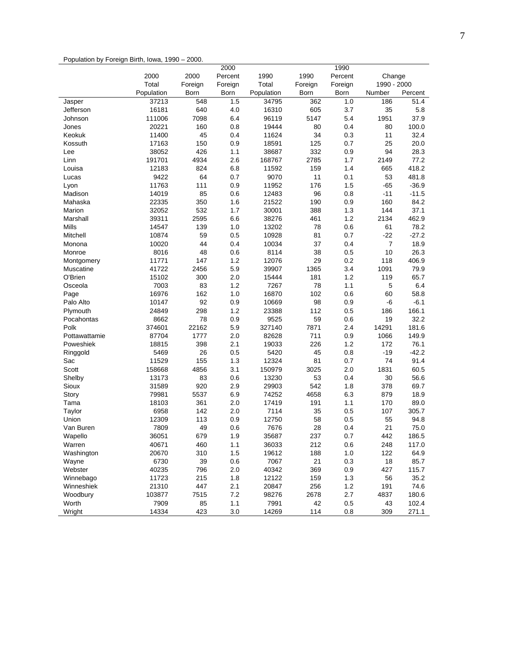#### Population by Foreign Birth, Iowa, 1990 – 2000.

|                      |                 |            | 2000       |                |            | 1990       |             |                |
|----------------------|-----------------|------------|------------|----------------|------------|------------|-------------|----------------|
|                      | 2000            | 2000       | Percent    | 1990           | 1990       | Percent    | Change      |                |
|                      | Total           | Foreign    | Foreign    | Total          | Foreign    | Foreign    | 1990 - 2000 |                |
|                      | Population      | Born       | Born       | Population     | Born       | Born       | Number      | Percent        |
| Jasper               | 37213           | 548        | 1.5        | 34795          | 362        | 1.0        | 186         | 51.4           |
| Jefferson            | 16181           | 640        | 4.0        | 16310          | 605        | 3.7        | 35          | 5.8            |
| Johnson              | 111006          | 7098       | 6.4        | 96119          | 5147       | 5.4        | 1951        | 37.9           |
| Jones                | 20221           | 160        | 0.8        | 19444          | 80         | 0.4        | 80          | 100.0          |
| Keokuk               | 11400           | 45         | 0.4        | 11624          | 34         | 0.3        | 11          | 32.4           |
| Kossuth              | 17163           | 150        | 0.9        | 18591          | 125        | 0.7        | 25          | 20.0           |
| Lee                  | 38052           | 426        | 1.1        | 38687          | 332        | 0.9        | 94          | 28.3           |
| Linn                 | 191701          | 4934       | 2.6        | 168767         | 2785       | 1.7        | 2149        | 77.2           |
| Louisa               | 12183           | 824        | 6.8        | 11592          | 159        | 1.4        | 665         | 418.2          |
| Lucas                | 9422            | 64         | 0.7        | 9070           | 11         | 0.1        | 53          | 481.8          |
| Lyon                 | 11763           | 111        | 0.9        | 11952          | 176        | 1.5        | -65         | $-36.9$        |
| Madison              | 14019           | 85         | 0.6        | 12483          | 96         | 0.8        | $-11$       | $-11.5$        |
| Mahaska              | 22335           | 350        | 1.6        | 21522          | 190        | 0.9        | 160         | 84.2           |
| Marion               | 32052           | 532        | 1.7        | 30001          | 388        | 1.3        | 144         | 37.1           |
| Marshall             | 39311           | 2595       | 6.6        | 38276          | 461        | 1.2        | 2134        | 462.9          |
| Mills                | 14547           | 139        | 1.0        | 13202          | 78         | 0.6        | 61          | 78.2           |
| Mitchell             | 10874           | 59         | 0.5        | 10928          | 81         | 0.7        | $-22$       | $-27.2$        |
| Monona               | 10020           | 44         | 0.4        | 10034          | 37         | 0.4        | 7           | 18.9           |
| Monroe               | 8016            | 48         | 0.6        | 8114           | 38         | 0.5        | 10          | 26.3           |
| Montgomery           | 11771           | 147        | 1.2        | 12076          | 29         | 0.2        | 118         | 406.9          |
| Muscatine            | 41722           | 2456       | 5.9        | 39907          | 1365       | 3.4        | 1091        | 79.9           |
| O'Brien              | 15102           | 300        | 2.0        | 15444          | 181        | 1.2        | 119         | 65.7           |
| Osceola              | 7003            | 83         | 1.2        | 7267           | 78         | 1.1        | 5           | 6.4            |
| Page                 | 16976           | 162        | 1.0        | 16870          | 102        | 0.6        | 60          | 58.8           |
| Palo Alto            | 10147           | 92         | 0.9        | 10669          | 98         | 0.9        | -6          | $-6.1$         |
| Plymouth             | 24849           | 298        | 1.2        | 23388          | 112        | 0.5        | 186         | 166.1          |
| Pocahontas           | 8662            | 78         | 0.9        | 9525           | 59         | 0.6        | 19          | 32.2           |
| Polk                 | 374601          | 22162      | 5.9        | 327140         | 7871       | 2.4        | 14291       | 181.6          |
| Pottawattamie        | 87704           | 1777       | 2.0        | 82628          | 711        | 0.9        | 1066        | 149.9          |
| Poweshiek            | 18815           | 398        | 2.1        | 19033          | 226        | 1.2        | 172         | 76.1           |
| Ringgold             | 5469            | 26         | 0.5        | 5420           | 45         | 0.8        | -19         | $-42.2$        |
| Sac                  | 11529           | 155        | 1.3        | 12324          | 81         | 0.7        | 74          | 91.4           |
| Scott                | 158668          | 4856       | 3.1        | 150979         | 3025       | 2.0        | 1831        | 60.5           |
| Shelby               | 13173           | 83         | 0.6        | 13230          | 53         | 0.4        | 30          | 56.6           |
| Sioux                | 31589           | 920        | 2.9        | 29903          | 542        | 1.8        | 378         | 69.7           |
| Story                | 79981           | 5537       | 6.9        | 74252<br>17419 | 4658       | 6.3        | 879         | 18.9           |
| Tama                 | 18103           | 361        | 2.0        |                | 191        | 1.1        | 170         | 89.0           |
| Taylor               | 6958            | 142<br>113 | 2.0        | 7114           | 35         | 0.5        | 107         | 305.7          |
| Union<br>Van Buren   | 12309<br>7809   | 49         | 0.9        | 12750<br>7676  | 58         | 0.5        | 55<br>21    | 94.8           |
|                      | 36051           | 679        | 0.6        | 35687          | 28<br>237  | 0.4<br>0.7 | 442         | 75.0           |
| Wapello              |                 |            | 1.9        |                |            |            |             | 186.5          |
| Warren<br>Washington | 40671           | 460        | 1.1<br>1.5 | 36033          | 212<br>188 | 0.6        | 248         | 117.0          |
|                      | 20670           | 310<br>39  |            | 19612<br>7067  | 21         | 1.0        | 122<br>18   | 64.9           |
| Wayne                | 6730            |            | 0.6        |                |            | 0.3        |             | 85.7           |
| Webster<br>Winnebago | 40235           | 796        | 2.0        | 40342          | 369        | 0.9        | 427<br>56   | 115.7          |
| Winneshiek           | 11723           | 215<br>447 | 1.8<br>2.1 | 12122          | 159<br>256 | 1.3<br>1.2 | 191         | 35.2           |
| Woodbury             | 21310<br>103877 | 7515       | 7.2        | 20847<br>98276 | 2678       | 2.7        | 4837        | 74.6           |
| Worth                | 7909            | 85         | 1.1        | 7991           | 42         | 0.5        | 43          | 180.6<br>102.4 |
| Wright               | 14334           | 423        | 3.0        | 14269          | 114        | 0.8        | 309         | 271.1          |
|                      |                 |            |            |                |            |            |             |                |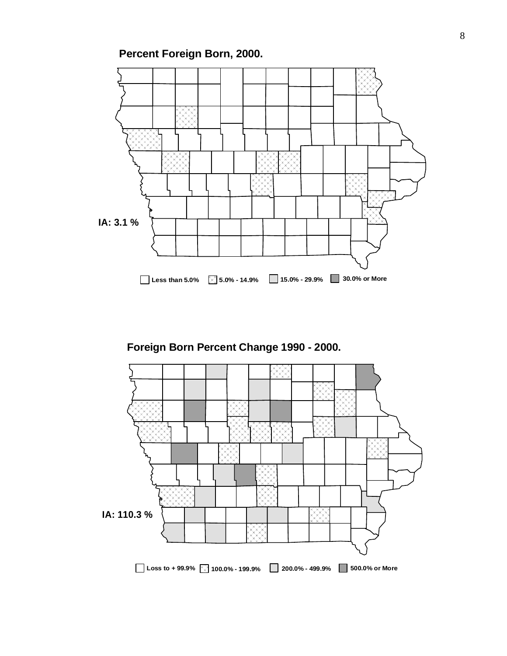**Percent Foreign Born, 2000.**



**Foreign Born Percent Change 1990 - 2000.**

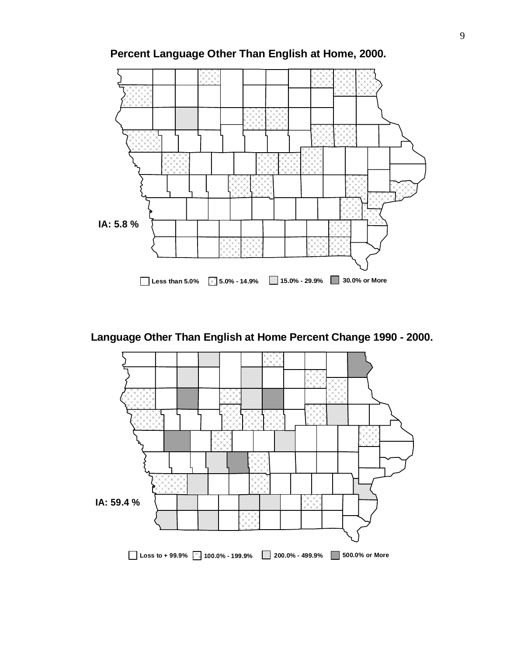![](_page_8_Figure_0.jpeg)

**Percent Language Other Than English at Home, 2000.**

**Language Other Than English at Home Percent Change 1990 - 2000.**

![](_page_8_Figure_3.jpeg)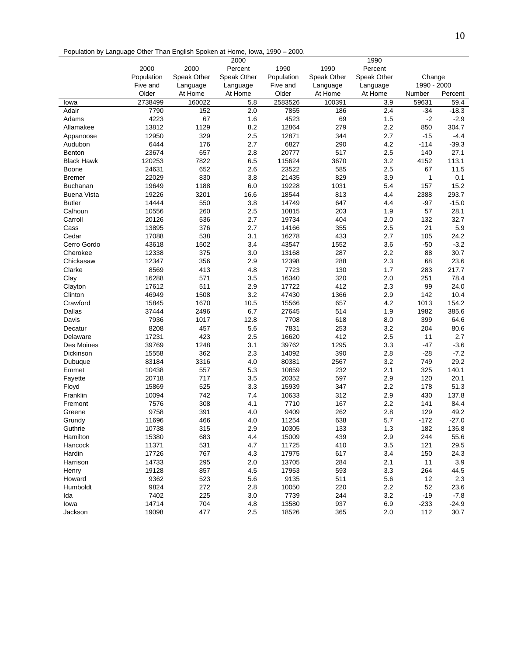Population by Language Other Than English Spoken at Home, Iowa, 1990 – 2000.

|                    |            |             | 2000        |            |             | 1990        |             |         |
|--------------------|------------|-------------|-------------|------------|-------------|-------------|-------------|---------|
|                    | 2000       | 2000        | Percent     | 1990       | 1990        | Percent     |             |         |
|                    | Population | Speak Other | Speak Other | Population | Speak Other | Speak Other | Change      |         |
|                    | Five and   | Language    | Language    | Five and   | Language    | Language    | 1990 - 2000 |         |
|                    | Older      | At Home     | At Home     | Older      | At Home     | At Home     | Number      | Percent |
| lowa               | 2738499    | 160022      | 5.8         | 2583526    | 100391      | 3.9         | 59631       | 59.4    |
| Adair              | 7790       | 152         | 2.0         | 7855       | 186         | 2.4         | $-34$       | $-18.3$ |
| Adams              | 4223       | 67          | 1.6         | 4523       | 69          | 1.5         | $-2$        | $-2.9$  |
| Allamakee          | 13812      | 1129        | 8.2         | 12864      | 279         | 2.2         | 850         | 304.7   |
| Appanoose          | 12950      | 329         | 2.5         | 12871      | 344         | 2.7         | $-15$       | $-4.4$  |
| Audubon            | 6444       | 176         | 2.7         | 6827       | 290         | 4.2         | $-114$      | $-39.3$ |
| <b>Benton</b>      | 23674      | 657         | 2.8         | 20777      | 517         | 2.5         | 140         | 27.1    |
| <b>Black Hawk</b>  | 120253     | 7822        | 6.5         | 115624     | 3670        | 3.2         | 4152        | 113.1   |
| <b>Boone</b>       | 24631      | 652         | 2.6         | 23522      | 585         | 2.5         | 67          | 11.5    |
| <b>Bremer</b>      | 22029      | 830         | 3.8         | 21435      | 829         | 3.9         | 1           | 0.1     |
| Buchanan           | 19649      | 1188        | 6.0         | 19228      | 1031        | 5.4         | 157         | 15.2    |
| <b>Buena Vista</b> | 19226      | 3201        | 16.6        | 18544      | 813         | 4.4         | 2388        | 293.7   |
| <b>Butler</b>      | 14444      | 550         | 3.8         | 14749      | 647         | 4.4         | $-97$       | $-15.0$ |
| Calhoun            | 10556      | 260         | 2.5         | 10815      | 203         | 1.9         | 57          | 28.1    |
| Carroll            | 20126      | 536         | 2.7         | 19734      | 404         | 2.0         | 132         | 32.7    |
| Cass               | 13895      | 376         | 2.7         | 14166      | 355         | 2.5         | 21          | 5.9     |
| Cedar              | 17088      | 538         | 3.1         | 16278      | 433         | 2.7         | 105         | 24.2    |
| Cerro Gordo        | 43618      | 1502        | 3.4         | 43547      | 1552        | 3.6         | $-50$       | $-3.2$  |
|                    | 12338      | 375         | 3.0         | 13168      |             | 2.2         | 88          | 30.7    |
| Cherokee           |            |             |             |            | 287         |             |             |         |
| Chickasaw          | 12347      | 356         | 2.9         | 12398      | 288         | 2.3         | 68          | 23.6    |
| Clarke             | 8569       | 413         | 4.8         | 7723       | 130         | 1.7         | 283         | 217.7   |
| Clay               | 16288      | 571         | 3.5         | 16340      | 320         | 2.0         | 251         | 78.4    |
| Clayton            | 17612      | 511         | 2.9         | 17722      | 412         | 2.3         | 99          | 24.0    |
| Clinton            | 46949      | 1508        | 3.2         | 47430      | 1366        | 2.9         | 142         | 10.4    |
| Crawford           | 15845      | 1670        | 10.5        | 15566      | 657         | 4.2         | 1013        | 154.2   |
| Dallas             | 37444      | 2496        | 6.7         | 27645      | 514         | 1.9         | 1982        | 385.6   |
| Davis              | 7936       | 1017        | 12.8        | 7708       | 618         | 8.0         | 399         | 64.6    |
| Decatur            | 8208       | 457         | 5.6         | 7831       | 253         | 3.2         | 204         | 80.6    |
| Delaware           | 17231      | 423         | 2.5         | 16620      | 412         | 2.5         | 11          | 2.7     |
| Des Moines         | 39769      | 1248        | 3.1         | 39762      | 1295        | 3.3         | $-47$       | $-3.6$  |
| Dickinson          | 15558      | 362         | 2.3         | 14092      | 390         | 2.8         | $-28$       | $-7.2$  |
| Dubuque            | 83184      | 3316        | 4.0         | 80381      | 2567        | 3.2         | 749         | 29.2    |
| Emmet              | 10438      | 557         | 5.3         | 10859      | 232         | 2.1         | 325         | 140.1   |
| Fayette            | 20718      | 717         | 3.5         | 20352      | 597         | 2.9         | 120         | 20.1    |
| Floyd              | 15869      | 525         | 3.3         | 15939      | 347         | 2.2         | 178         | 51.3    |
| Franklin           | 10094      | 742         | 7.4         | 10633      | 312         | 2.9         | 430         | 137.8   |
| Fremont            | 7576       | 308         | 4.1         | 7710       | 167         | 2.2         | 141         | 84.4    |
| Greene             | 9758       | 391         | 4.0         | 9409       | 262         | 2.8         | 129         | 49.2    |
| Grundy             | 11696      | 466         | 4.0         | 11254      | 638         | 5.7         | $-172$      | $-27.0$ |
| Guthrie            | 10738      | 315         | 2.9         | 10305      | 133         | 1.3         | 182         | 136.8   |
| Hamilton           | 15380      | 683         | 4.4         | 15009      | 439         | 2.9         | 244         | 55.6    |
| Hancock            | 11371      | 531         | 4.7         | 11725      | 410         | 3.5         | 121         | 29.5    |
| Hardin             | 17726      | 767         | 4.3         | 17975      | 617         | 3.4         | 150         | 24.3    |
| Harrison           | 14733      | 295         | 2.0         | 13705      | 284         | 2.1         | 11          | 3.9     |
| Henry              | 19128      | 857         | 4.5         | 17953      | 593         | 3.3         | 264         | 44.5    |
| Howard             | 9362       | 523         | 5.6         | 9135       | 511         | 5.6         | 12          | 2.3     |
| Humboldt           | 9824       | 272         | 2.8         | 10050      | 220         | 2.2         | 52          | 23.6    |
| Ida                | 7402       | 225         | 3.0         | 7739       | 244         | 3.2         | $-19$       | $-7.8$  |
| lowa               | 14714      | 704         | 4.8         | 13580      | 937         | 6.9         | $-233$      | $-24.9$ |
| Jackson            | 19098      | 477         | 2.5         | 18526      | 365         | 2.0         | 112         | 30.7    |
|                    |            |             |             |            |             |             |             |         |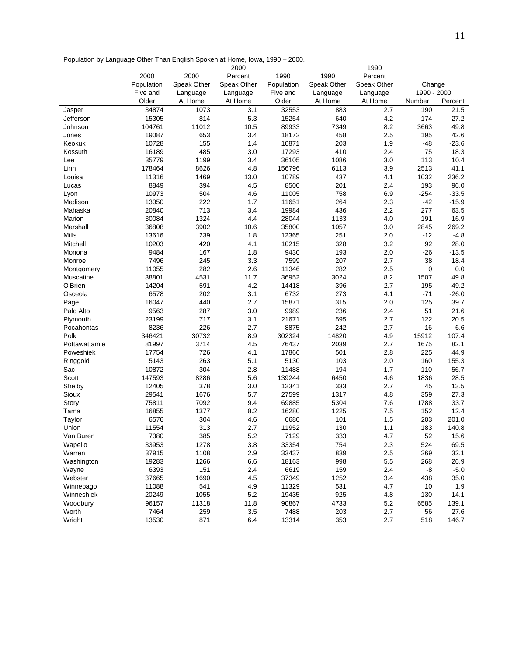|  | Population by Language Other Than English Spoken at Home, Iowa, 1990 – 2000. |  |  |  |
|--|------------------------------------------------------------------------------|--|--|--|
|--|------------------------------------------------------------------------------|--|--|--|

|               |                |             | 2000        |                |             | 1990        |             |         |
|---------------|----------------|-------------|-------------|----------------|-------------|-------------|-------------|---------|
|               | 2000           | 2000        | Percent     | 1990           | 1990        | Percent     |             |         |
|               | Population     | Speak Other | Speak Other | Population     | Speak Other | Speak Other | Change      |         |
|               | Five and       | Language    | Language    | Five and       | Language    | Language    | 1990 - 2000 |         |
|               | Older          | At Home     | At Home     | Older          | At Home     | At Home     | Number      | Percent |
| Jasper        | 34874          | 1073        | 3.1         | 32553          | 883         | 2.7         | 190         | 21.5    |
| Jefferson     | 15305          | 814         | 5.3         | 15254          | 640         | 4.2         | 174         | 27.2    |
| Johnson       | 104761         | 11012       | 10.5        | 89933          | 7349        | 8.2         | 3663        | 49.8    |
| Jones         | 19087          | 653         | 3.4         | 18172          | 458         | 2.5         | 195         | 42.6    |
| Keokuk        | 10728          | 155         | 1.4         | 10871          | 203         | 1.9         | $-48$       | $-23.6$ |
| Kossuth       | 16189          | 485         | 3.0         | 17293          | 410         | 2.4         | 75          | 18.3    |
| Lee           | 35779          | 1199        | 3.4         | 36105          | 1086        | 3.0         | 113         | 10.4    |
| Linn          | 178464         | 8626        | 4.8         | 156796         | 6113        | 3.9         | 2513        | 41.1    |
| Louisa        | 11316          | 1469        | 13.0        | 10789          | 437         | 4.1         | 1032        | 236.2   |
| Lucas         | 8849           | 394         | 4.5         | 8500           | 201         | 2.4         | 193         | 96.0    |
| Lyon          | 10973          | 504         | 4.6         | 11005          | 758         | 6.9         | $-254$      | $-33.5$ |
| Madison       | 13050          | 222         | 1.7         | 11651          | 264         | 2.3         | $-42$       | $-15.9$ |
| Mahaska       | 20840          | 713         | 3.4         | 19984          | 436         | 2.2         | 277         | 63.5    |
| Marion        | 30084          | 1324        | 4.4         | 28044          | 1133        | 4.0         | 191         | 16.9    |
| Marshall      | 36808          | 3902        | 10.6        | 35800          | 1057        | 3.0         | 2845        | 269.2   |
| Mills         | 13616          | 239         | 1.8         | 12365          | 251         | 2.0         | $-12$       | $-4.8$  |
| Mitchell      | 10203          | 420         | 4.1         | 10215          | 328         | 3.2         | 92          | 28.0    |
| Monona        | 9484           | 167         |             | 9430           |             |             |             | $-13.5$ |
|               | 7496           |             | 1.8<br>3.3  | 7599           | 193<br>207  | 2.0<br>2.7  | $-26$<br>38 | 18.4    |
| Monroe        |                | 245         |             |                |             |             |             |         |
| Montgomery    | 11055<br>38801 | 282<br>4531 | 2.6         | 11346<br>36952 | 282<br>3024 | 2.5<br>8.2  | 0           | 0.0     |
| Muscatine     |                |             | 11.7        |                |             |             | 1507        | 49.8    |
| O'Brien       | 14204          | 591         | 4.2         | 14418          | 396         | 2.7         | 195         | 49.2    |
| Osceola       | 6578           | 202         | 3.1         | 6732           | 273         | 4.1         | $-71$       | $-26.0$ |
| Page          | 16047          | 440         | 2.7         | 15871          | 315         | 2.0         | 125         | 39.7    |
| Palo Alto     | 9563           | 287         | 3.0         | 9989           | 236         | 2.4         | 51          | 21.6    |
| Plymouth      | 23199          | 717         | 3.1         | 21671          | 595         | 2.7         | 122         | 20.5    |
| Pocahontas    | 8236           | 226         | 2.7         | 8875           | 242         | 2.7         | $-16$       | $-6.6$  |
| Polk          | 346421         | 30732       | 8.9         | 302324         | 14820       | 4.9         | 15912       | 107.4   |
| Pottawattamie | 81997          | 3714        | 4.5         | 76437          | 2039        | 2.7         | 1675        | 82.1    |
| Poweshiek     | 17754          | 726         | 4.1         | 17866          | 501         | 2.8         | 225         | 44.9    |
| Ringgold      | 5143           | 263         | 5.1         | 5130           | 103         | 2.0         | 160         | 155.3   |
| Sac           | 10872          | 304         | 2.8         | 11488          | 194         | 1.7         | 110         | 56.7    |
| Scott         | 147593         | 8286        | 5.6         | 139244         | 6450        | 4.6         | 1836        | 28.5    |
| Shelby        | 12405          | 378         | 3.0         | 12341          | 333         | 2.7         | 45          | 13.5    |
| Sioux         | 29541          | 1676        | 5.7         | 27599          | 1317        | 4.8         | 359         | 27.3    |
| Story         | 75811          | 7092        | 9.4         | 69885          | 5304        | 7.6         | 1788        | 33.7    |
| Tama          | 16855          | 1377        | 8.2         | 16280          | 1225        | 7.5         | 152         | 12.4    |
| Taylor        | 6576           | 304         | 4.6         | 6680           | 101         | 1.5         | 203         | 201.0   |
| Union         | 11554          | 313         | 2.7         | 11952          | 130         | 1.1         | 183         | 140.8   |
| Van Buren     | 7380           | 385         | 5.2         | 7129           | 333         | 4.7         | 52          | 15.6    |
| Wapello       | 33953          | 1278        | 3.8         | 33354          | 754         | 2.3         | 524         | 69.5    |
| Warren        | 37915          | 1108        | 2.9         | 33437          | 839         | 2.5         | 269         | 32.1    |
| Washington    | 19283          | 1266        | 6.6         | 18163          | 998         | 5.5         | 268         | 26.9    |
| Wayne         | 6393           | 151         | 2.4         | 6619           | 159         | 2.4         | -8          | $-5.0$  |
| Webster       | 37665          | 1690        | 4.5         | 37349          | 1252        | 3.4         | 438         | 35.0    |
| Winnebago     | 11088          | 541         | 4.9         | 11329          | 531         | 4.7         | 10          | 1.9     |
| Winneshiek    | 20249          | 1055        | $5.2\,$     | 19435          | 925         | 4.8         | 130         | 14.1    |
| Woodbury      | 96157          | 11318       | 11.8        | 90867          | 4733        | 5.2         | 6585        | 139.1   |
| Worth         | 7464           | 259         | 3.5         | 7488           | 203         | 2.7         | 56          | 27.6    |
| Wright        | 13530          | 871         | 6.4         | 13314          | 353         | 2.7         | 518         | 146.7   |